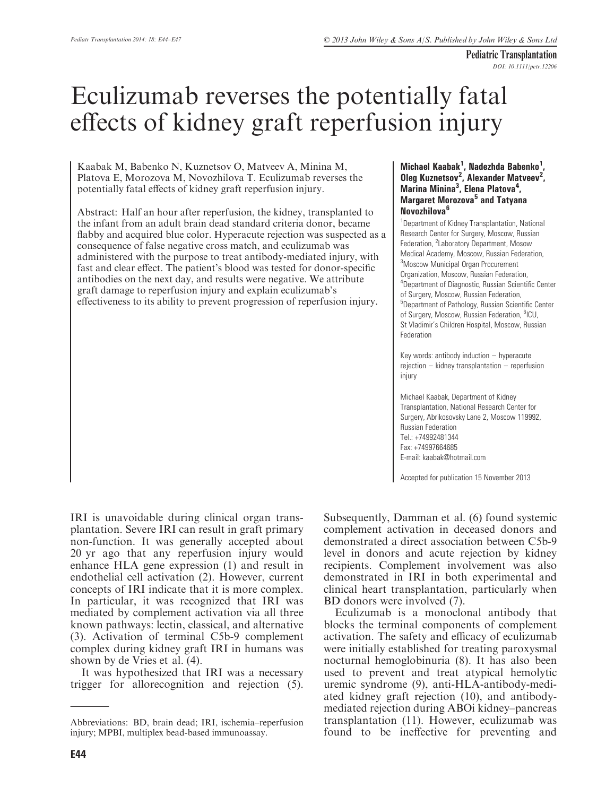Pediatric Transplantation DOI: 10.1111/petr.12206

# Eculizumab reverses the potentially fatal effects of kidney graft reperfusion injury

Kaabak M, Babenko N, Kuznetsov O, Matveev A, Minina M, Platova E, Morozova M, Novozhilova T. Eculizumab reverses the potentially fatal effects of kidney graft reperfusion injury.

Abstract: Half an hour after reperfusion, the kidney, transplanted to the infant from an adult brain dead standard criteria donor, became flabby and acquired blue color. Hyperacute rejection was suspected as a consequence of false negative cross match, and eculizumab was administered with the purpose to treat antibody-mediated injury, with fast and clear effect. The patient's blood was tested for donor-specific antibodies on the next day, and results were negative. We attribute graft damage to reperfusion injury and explain eculizumab's effectiveness to its ability to prevent progression of reperfusion injury.

#### Michael Kaabak<sup>1</sup>, Nadezhda Babenko<sup>1</sup>, Oleg Kuznetsov<sup>2</sup>, Alexander Matveev<sup>2</sup>, Marina Minina<sup>3</sup>, Elena Platova<sup>4</sup>, Margaret Morozova<sup>5</sup> and Tatyana Novozhilova<sup>6</sup>

<sup>1</sup>Department of Kidney Transplantation, National Research Center for Surgery, Moscow, Russian Federation, <sup>2</sup>Laboratory Department, Mosow Medical Academy, Moscow, Russian Federation, 3 Moscow Municipal Organ Procurement Organization, Moscow, Russian Federation, 4 Department of Diagnostic, Russian Scientific Center of Surgery, Moscow, Russian Federation, 5 Department of Pathology, Russian Scientific Center of Surgery, Moscow, Russian Federation, <sup>6</sup>ICU, St Vladimir's Children Hospital, Moscow, Russian Federation

Key words: antibody induction – hyperacute rejection – kidney transplantation – reperfusion injury

Michael Kaabak, Department of Kidney Transplantation, National Research Center for Surgery, Abrikosovsky Lane 2, Moscow 119992, Russian Federation Tel.: +74992481344 Fax: +74997664685 E-mail: kaabak@hotmail.com

Accepted for publication 15 November 2013

IRI is unavoidable during clinical organ transplantation. Severe IRI can result in graft primary non-function. It was generally accepted about 20 yr ago that any reperfusion injury would enhance HLA gene expression (1) and result in endothelial cell activation (2). However, current concepts of IRI indicate that it is more complex. In particular, it was recognized that IRI was mediated by complement activation via all three known pathways: lectin, classical, and alternative (3). Activation of terminal C5b-9 complement complex during kidney graft IRI in humans was shown by de Vries et al. (4).

It was hypothesized that IRI was a necessary trigger for allorecognition and rejection (5). Subsequently, Damman et al. (6) found systemic complement activation in deceased donors and demonstrated a direct association between C5b-9 level in donors and acute rejection by kidney recipients. Complement involvement was also demonstrated in IRI in both experimental and clinical heart transplantation, particularly when BD donors were involved (7).

Eculizumab is a monoclonal antibody that blocks the terminal components of complement activation. The safety and efficacy of eculizumab were initially established for treating paroxysmal nocturnal hemoglobinuria (8). It has also been used to prevent and treat atypical hemolytic uremic syndrome (9), anti-HLA-antibody-mediated kidney graft rejection (10), and antibodymediated rejection during ABOi kidney–pancreas transplantation (11). However, eculizumab was found to be ineffective for preventing and

Abbreviations: BD, brain dead; IRI, ischemia–reperfusion injury; MPBI, multiplex bead-based immunoassay.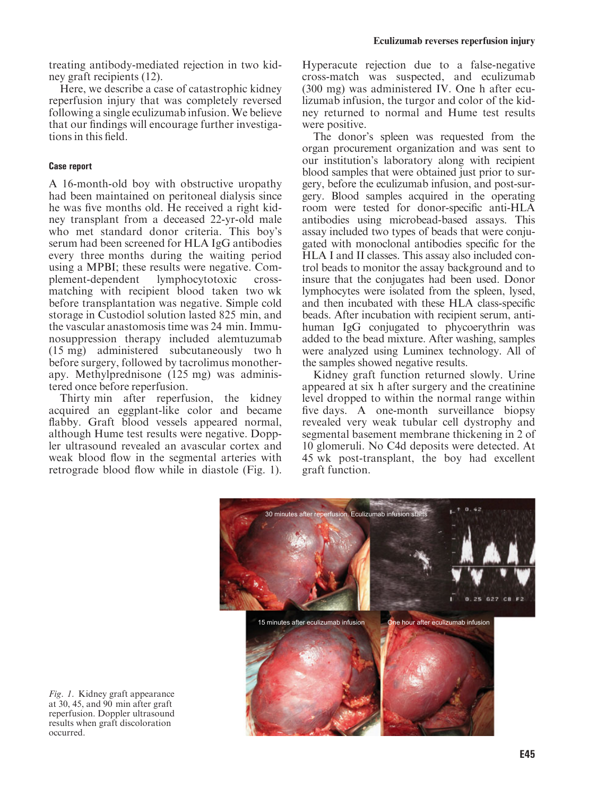treating antibody-mediated rejection in two kidney graft recipients (12).

Here, we describe a case of catastrophic kidney reperfusion injury that was completely reversed following a single eculizumab infusion. We believe that our findings will encourage further investigations in this field.

# Case report

A 16-month-old boy with obstructive uropathy had been maintained on peritoneal dialysis since he was five months old. He received a right kidney transplant from a deceased 22-yr-old male who met standard donor criteria. This boy's serum had been screened for HLA IgG antibodies every three months during the waiting period using a MPBI; these results were negative. Complement-dependent lymphocytotoxic crossmatching with recipient blood taken two wk before transplantation was negative. Simple cold storage in Custodiol solution lasted 825 min, and the vascular anastomosis time was 24 min. Immunosuppression therapy included alemtuzumab (15 mg) administered subcutaneously two h before surgery, followed by tacrolimus monotherapy. Methylprednisone (125 mg) was administered once before reperfusion.

Thirty min after reperfusion, the kidney acquired an eggplant-like color and became flabby. Graft blood vessels appeared normal, although Hume test results were negative. Doppler ultrasound revealed an avascular cortex and weak blood flow in the segmental arteries with retrograde blood flow while in diastole (Fig. 1).

Hyperacute rejection due to a false-negative cross-match was suspected, and eculizumab (300 mg) was administered IV. One h after eculizumab infusion, the turgor and color of the kidney returned to normal and Hume test results were positive.

The donor's spleen was requested from the organ procurement organization and was sent to our institution's laboratory along with recipient blood samples that were obtained just prior to surgery, before the eculizumab infusion, and post-surgery. Blood samples acquired in the operating room were tested for donor-specific anti-HLA antibodies using microbead-based assays. This assay included two types of beads that were conjugated with monoclonal antibodies specific for the HLA I and II classes. This assay also included control beads to monitor the assay background and to insure that the conjugates had been used. Donor lymphocytes were isolated from the spleen, lysed, and then incubated with these HLA class-specific beads. After incubation with recipient serum, antihuman IgG conjugated to phycoerythrin was added to the bead mixture. After washing, samples were analyzed using Luminex technology. All of the samples showed negative results.

Kidney graft function returned slowly. Urine appeared at six h after surgery and the creatinine level dropped to within the normal range within five days. A one-month surveillance biopsy revealed very weak tubular cell dystrophy and segmental basement membrane thickening in 2 of 10 glomeruli. No C4d deposits were detected. At 45 wk post-transplant, the boy had excellent graft function.



Fig. 1. Kidney graft appearance at  $30, 45,$  and  $90$  min after graft reperfusion. Doppler ultrasound results when graft discoloration occurred.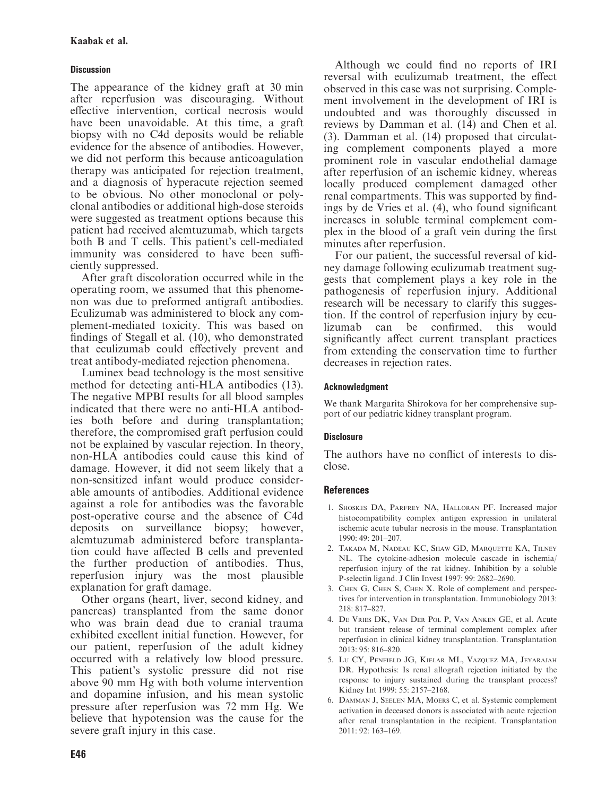# **Discussion**

The appearance of the kidney graft at 30 min after reperfusion was discouraging. Without effective intervention, cortical necrosis would have been unavoidable. At this time, a graft biopsy with no C4d deposits would be reliable evidence for the absence of antibodies. However, we did not perform this because anticoagulation therapy was anticipated for rejection treatment, and a diagnosis of hyperacute rejection seemed to be obvious. No other monoclonal or polyclonal antibodies or additional high-dose steroids were suggested as treatment options because this patient had received alemtuzumab, which targets both B and T cells. This patient's cell-mediated immunity was considered to have been sufficiently suppressed.

After graft discoloration occurred while in the operating room, we assumed that this phenomenon was due to preformed antigraft antibodies. Eculizumab was administered to block any complement-mediated toxicity. This was based on findings of Stegall et al. (10), who demonstrated that eculizumab could effectively prevent and treat antibody-mediated rejection phenomena.

Luminex bead technology is the most sensitive method for detecting anti-HLA antibodies (13). The negative MPBI results for all blood samples indicated that there were no anti-HLA antibodies both before and during transplantation; therefore, the compromised graft perfusion could not be explained by vascular rejection. In theory, non-HLA antibodies could cause this kind of damage. However, it did not seem likely that a non-sensitized infant would produce considerable amounts of antibodies. Additional evidence against a role for antibodies was the favorable post-operative course and the absence of C4d deposits on surveillance biopsy; however, alemtuzumab administered before transplantation could have affected B cells and prevented the further production of antibodies. Thus, reperfusion injury was the most plausible explanation for graft damage.

Other organs (heart, liver, second kidney, and pancreas) transplanted from the same donor who was brain dead due to cranial trauma exhibited excellent initial function. However, for our patient, reperfusion of the adult kidney occurred with a relatively low blood pressure. This patient's systolic pressure did not rise above 90 mm Hg with both volume intervention and dopamine infusion, and his mean systolic pressure after reperfusion was 72 mm Hg. We believe that hypotension was the cause for the severe graft injury in this case.

Although we could find no reports of IRI reversal with eculizumab treatment, the effect observed in this case was not surprising. Complement involvement in the development of IRI is undoubted and was thoroughly discussed in reviews by Damman et al. (14) and Chen et al. (3). Damman et al. (14) proposed that circulating complement components played a more prominent role in vascular endothelial damage after reperfusion of an ischemic kidney, whereas locally produced complement damaged other renal compartments. This was supported by findings by de Vries et al. (4), who found significant increases in soluble terminal complement complex in the blood of a graft vein during the first minutes after reperfusion.

For our patient, the successful reversal of kidney damage following eculizumab treatment suggests that complement plays a key role in the pathogenesis of reperfusion injury. Additional research will be necessary to clarify this suggestion. If the control of reperfusion injury by eculizumab can be confirmed, this would significantly affect current transplant practices from extending the conservation time to further decreases in rejection rates.

#### Acknowledgment

We thank Margarita Shirokova for her comprehensive support of our pediatric kidney transplant program.

# **Disclosure**

The authors have no conflict of interests to disclose.

#### References

- 1. SHOSKES DA, PARFREY NA, HALLORAN PF. Increased major histocompatibility complex antigen expression in unilateral ischemic acute tubular necrosis in the mouse. Transplantation 1990: 49: 201–207.
- 2. TAKADA M, NADEAU KC, SHAW GD, MARQUETTE KA, TILNEY NL. The cytokine-adhesion molecule cascade in ischemia/ reperfusion injury of the rat kidney. Inhibition by a soluble P-selectin ligand. J Clin Invest 1997: 99: 2682–2690.
- 3. CHEN G, CHEN S, CHEN X. Role of complement and perspectives for intervention in transplantation. Immunobiology 2013: 218: 817–827.
- 4. DE VRIES DK, VAN DER POL P, VAN ANKEN GE, et al. Acute but transient release of terminal complement complex after reperfusion in clinical kidney transplantation. Transplantation 2013: 95: 816–820.
- 5. LU CY, PENFIELD JG, KIELAR ML, VAZQUEZ MA, JEYARAJAH DR. Hypothesis: Is renal allograft rejection initiated by the response to injury sustained during the transplant process? Kidney Int 1999: 55: 2157–2168.
- 6. DAMMAN J, SEELEN MA, MOERS C, et al. Systemic complement activation in deceased donors is associated with acute rejection after renal transplantation in the recipient. Transplantation  $2011 \cdot 92 \cdot 163 - 169$ .